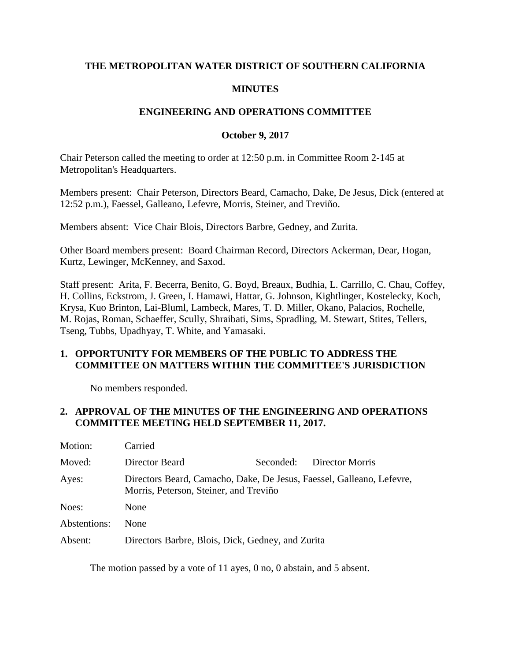### **THE METROPOLITAN WATER DISTRICT OF SOUTHERN CALIFORNIA**

### **MINUTES**

### **ENGINEERING AND OPERATIONS COMMITTEE**

#### **October 9, 2017**

Chair Peterson called the meeting to order at 12:50 p.m. in Committee Room 2-145 at Metropolitan's Headquarters.

Members present: Chair Peterson, Directors Beard, Camacho, Dake, De Jesus, Dick (entered at 12:52 p.m.), Faessel, Galleano, Lefevre, Morris, Steiner, and Treviño.

Members absent: Vice Chair Blois, Directors Barbre, Gedney, and Zurita.

Other Board members present: Board Chairman Record, Directors Ackerman, Dear, Hogan, Kurtz, Lewinger, McKenney, and Saxod.

Staff present: Arita, F. Becerra, Benito, G. Boyd, Breaux, Budhia, L. Carrillo, C. Chau, Coffey, H. Collins, Eckstrom, J. Green, I. Hamawi, Hattar, G. Johnson, Kightlinger, Kostelecky, Koch, Krysa, Kuo Brinton, Lai-Bluml, Lambeck, Mares, T. D. Miller, Okano, Palacios, Rochelle, M. Rojas, Roman, Schaeffer, Scully, Shraibati, Sims, Spradling, M. Stewart, Stites, Tellers, Tseng, Tubbs, Upadhyay, T. White, and Yamasaki.

### **1. OPPORTUNITY FOR MEMBERS OF THE PUBLIC TO ADDRESS THE COMMITTEE ON MATTERS WITHIN THE COMMITTEE'S JURISDICTION**

No members responded.

### **2. APPROVAL OF THE MINUTES OF THE ENGINEERING AND OPERATIONS COMMITTEE MEETING HELD SEPTEMBER 11, 2017.**

| Motion:      | Carried                                                                                                         |  |  |
|--------------|-----------------------------------------------------------------------------------------------------------------|--|--|
| Moved:       | Director Beard<br>Seconded:<br>Director Morris                                                                  |  |  |
| Ayes:        | Directors Beard, Camacho, Dake, De Jesus, Faessel, Galleano, Lefevre,<br>Morris, Peterson, Steiner, and Treviño |  |  |
| Noes:        | None                                                                                                            |  |  |
| Abstentions: | <b>None</b>                                                                                                     |  |  |
| Absent:      | Directors Barbre, Blois, Dick, Gedney, and Zurita                                                               |  |  |

The motion passed by a vote of 11 ayes, 0 no, 0 abstain, and 5 absent.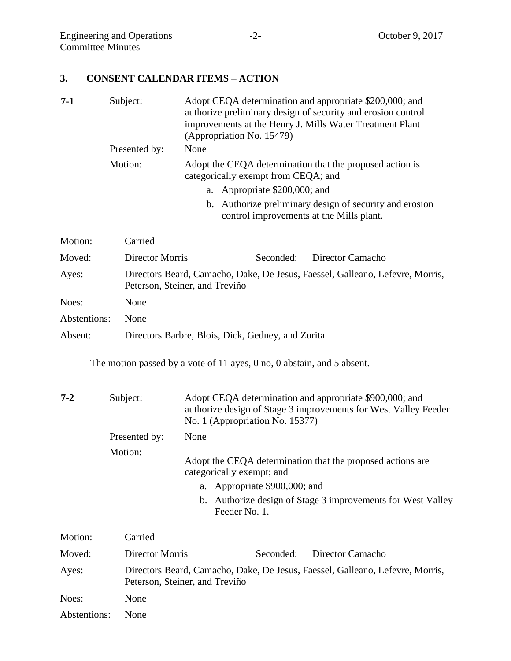## **3. CONSENT CALENDAR ITEMS – ACTION**

| $7-1$        | Subject:               | Adopt CEQA determination and appropriate \$200,000; and<br>authorize preliminary design of security and erosion control<br>improvements at the Henry J. Mills Water Treatment Plant<br>(Appropriation No. 15479) |  |  |
|--------------|------------------------|------------------------------------------------------------------------------------------------------------------------------------------------------------------------------------------------------------------|--|--|
|              | Presented by:          | None                                                                                                                                                                                                             |  |  |
|              | Motion:                | Adopt the CEQA determination that the proposed action is<br>categorically exempt from CEQA; and                                                                                                                  |  |  |
|              |                        | a. Appropriate \$200,000; and                                                                                                                                                                                    |  |  |
|              |                        | b. Authorize preliminary design of security and erosion<br>control improvements at the Mills plant.                                                                                                              |  |  |
| Motion:      | Carried                |                                                                                                                                                                                                                  |  |  |
| Moved:       | <b>Director Morris</b> | Seconded:<br>Director Camacho                                                                                                                                                                                    |  |  |
| Ayes:        |                        | Directors Beard, Camacho, Dake, De Jesus, Faessel, Galleano, Lefevre, Morris,<br>Peterson, Steiner, and Treviño                                                                                                  |  |  |
| Noes:        | None                   |                                                                                                                                                                                                                  |  |  |
| Abstentions: | None                   |                                                                                                                                                                                                                  |  |  |
| Absent:      |                        | Directors Barbre, Blois, Dick, Gedney, and Zurita                                                                                                                                                                |  |  |

The motion passed by a vote of 11 ayes, 0 no, 0 abstain, and 5 absent.

| $7 - 2$ | Subject:      | Adopt CEQA determination and appropriate \$900,000; and<br>authorize design of Stage 3 improvements for West Valley Feeder<br>No. 1 (Appropriation No. 15377) |
|---------|---------------|---------------------------------------------------------------------------------------------------------------------------------------------------------------|
|         | Presented by: | None                                                                                                                                                          |
|         | Motion:       | Adopt the CEQA determination that the proposed actions are<br>categorically exempt; and                                                                       |
|         |               | a. Appropriate \$900,000; and                                                                                                                                 |
|         |               | b. Authorize design of Stage 3 improvements for West Valley<br>Feeder No. 1.                                                                                  |
|         |               |                                                                                                                                                               |

| Motion:      | Carried                                                                                                         |           |                  |
|--------------|-----------------------------------------------------------------------------------------------------------------|-----------|------------------|
| Moved:       | Director Morris                                                                                                 | Seconded: | Director Camacho |
| Ayes:        | Directors Beard, Camacho, Dake, De Jesus, Faessel, Galleano, Lefevre, Morris,<br>Peterson, Steiner, and Treviño |           |                  |
| Noes:        | <b>None</b>                                                                                                     |           |                  |
| Abstentions: | <b>None</b>                                                                                                     |           |                  |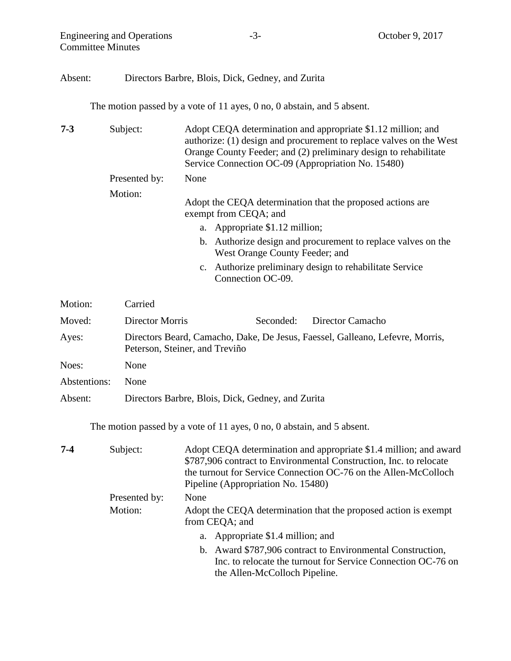Engineering and Operations -3- October 9, 2017 Committee Minutes

## Absent: Directors Barbre, Blois, Dick, Gedney, and Zurita

The motion passed by a vote of 11 ayes, 0 no, 0 abstain, and 5 absent.

| $7 - 3$ | Subject:      | Adopt CEQA determination and appropriate \$1.12 million; and<br>authorize: (1) design and procurement to replace valves on the West<br>Orange County Feeder; and (2) preliminary design to rehabilitate<br>Service Connection OC-09 (Appropriation No. 15480) |
|---------|---------------|---------------------------------------------------------------------------------------------------------------------------------------------------------------------------------------------------------------------------------------------------------------|
|         | Presented by: | None                                                                                                                                                                                                                                                          |
|         | Motion:       | Adopt the CEQA determination that the proposed actions are<br>exempt from CEQA; and                                                                                                                                                                           |
|         |               | a. Appropriate \$1.12 million;                                                                                                                                                                                                                                |
|         |               | b. Authorize design and procurement to replace valves on the<br>West Orange County Feeder; and                                                                                                                                                                |
|         |               | c. Authorize preliminary design to rehabilitate Service<br>Connection OC-09.                                                                                                                                                                                  |

| Motion:      | Carried                                           |           |                                                                               |
|--------------|---------------------------------------------------|-----------|-------------------------------------------------------------------------------|
| Moved:       | Director Morris                                   | Seconded: | Director Camacho                                                              |
| Ayes:        | Peterson, Steiner, and Treviño                    |           | Directors Beard, Camacho, Dake, De Jesus, Faessel, Galleano, Lefevre, Morris, |
| Noes:        | None                                              |           |                                                                               |
| Abstentions: | <b>None</b>                                       |           |                                                                               |
| Absent:      | Directors Barbre, Blois, Dick, Gedney, and Zurita |           |                                                                               |

The motion passed by a vote of 11 ayes, 0 no, 0 abstain, and 5 absent.

| $7 - 4$ | Subject:      | Adopt CEQA determination and appropriate \$1.4 million; and award<br>\$787,906 contract to Environmental Construction, Inc. to relocate<br>the turnout for Service Connection OC-76 on the Allen-McColloch<br>Pipeline (Appropriation No. 15480) |
|---------|---------------|--------------------------------------------------------------------------------------------------------------------------------------------------------------------------------------------------------------------------------------------------|
|         | Presented by: | None                                                                                                                                                                                                                                             |
|         | Motion:       | Adopt the CEQA determination that the proposed action is exempt<br>from CEQA; and                                                                                                                                                                |
|         |               | a. Appropriate \$1.4 million; and                                                                                                                                                                                                                |
|         |               | b. Award \$787,906 contract to Environmental Construction,                                                                                                                                                                                       |
|         |               | Inc. to relocate the turnout for Service Connection OC-76 on                                                                                                                                                                                     |
|         |               | the Allen-McColloch Pipeline.                                                                                                                                                                                                                    |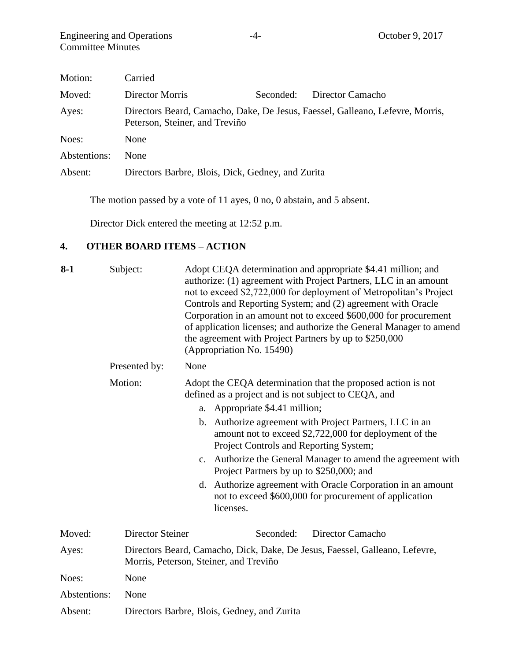| Motion:      | Carried                                           |           |                                                                               |
|--------------|---------------------------------------------------|-----------|-------------------------------------------------------------------------------|
| Moved:       | Director Morris                                   | Seconded: | Director Camacho                                                              |
| Ayes:        | Peterson, Steiner, and Treviño                    |           | Directors Beard, Camacho, Dake, De Jesus, Faessel, Galleano, Lefevre, Morris, |
| Noes:        | None                                              |           |                                                                               |
| Abstentions: | <b>None</b>                                       |           |                                                                               |
| Absent:      | Directors Barbre, Blois, Dick, Gedney, and Zurita |           |                                                                               |

The motion passed by a vote of 11 ayes, 0 no, 0 abstain, and 5 absent.

Director Dick entered the meeting at 12:52 p.m.

# **4. OTHER BOARD ITEMS – ACTION**

| $8-1$        | Subject:                | Adopt CEQA determination and appropriate \$4.41 million; and<br>authorize: (1) agreement with Project Partners, LLC in an amount<br>not to exceed \$2,722,000 for deployment of Metropolitan's Project<br>Controls and Reporting System; and (2) agreement with Oracle<br>Corporation in an amount not to exceed \$600,000 for procurement<br>of application licenses; and authorize the General Manager to amend<br>the agreement with Project Partners by up to \$250,000<br>(Appropriation No. 15490) |
|--------------|-------------------------|----------------------------------------------------------------------------------------------------------------------------------------------------------------------------------------------------------------------------------------------------------------------------------------------------------------------------------------------------------------------------------------------------------------------------------------------------------------------------------------------------------|
|              | Presented by:           | None                                                                                                                                                                                                                                                                                                                                                                                                                                                                                                     |
|              | Motion:                 | Adopt the CEQA determination that the proposed action is not<br>defined as a project and is not subject to CEQA, and                                                                                                                                                                                                                                                                                                                                                                                     |
|              |                         | Appropriate \$4.41 million;<br>a.                                                                                                                                                                                                                                                                                                                                                                                                                                                                        |
|              |                         | Authorize agreement with Project Partners, LLC in an<br>$\mathbf{b}$ .<br>amount not to exceed \$2,722,000 for deployment of the<br>Project Controls and Reporting System;                                                                                                                                                                                                                                                                                                                               |
|              |                         | c. Authorize the General Manager to amend the agreement with<br>Project Partners by up to \$250,000; and                                                                                                                                                                                                                                                                                                                                                                                                 |
|              |                         | d. Authorize agreement with Oracle Corporation in an amount<br>not to exceed \$600,000 for procurement of application<br>licenses.                                                                                                                                                                                                                                                                                                                                                                       |
| Moved:       | <b>Director Steiner</b> | Seconded:<br>Director Camacho                                                                                                                                                                                                                                                                                                                                                                                                                                                                            |
| Ayes:        |                         | Directors Beard, Camacho, Dick, Dake, De Jesus, Faessel, Galleano, Lefevre,<br>Morris, Peterson, Steiner, and Treviño                                                                                                                                                                                                                                                                                                                                                                                    |
| Noes:        | None                    |                                                                                                                                                                                                                                                                                                                                                                                                                                                                                                          |
| Abstentions: | None                    |                                                                                                                                                                                                                                                                                                                                                                                                                                                                                                          |
| Absent:      |                         | Directors Barbre, Blois, Gedney, and Zurita                                                                                                                                                                                                                                                                                                                                                                                                                                                              |